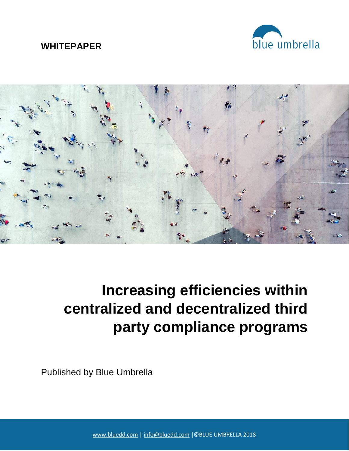# **WHITEPAPER**





# **Increasing efficiencies within centralized and decentralized third party compliance programs**

Published by Blue Umbrella

[www.bluedd.com](http://www.bluedd.com/) | [info@bluedd.com](mailto:info@bluedd.com) |©BLUE UMBRELLA 2018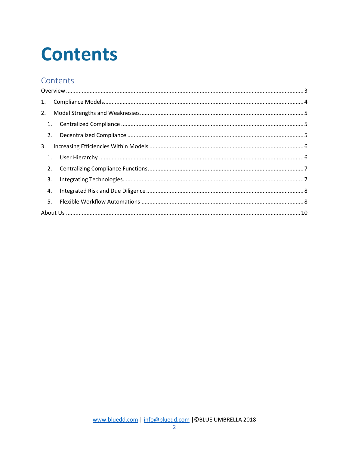# **Contents**

# Contents

| 1. |  |  |  |
|----|--|--|--|
| 2. |  |  |  |
|    |  |  |  |
| 2. |  |  |  |
| 3. |  |  |  |
| 1. |  |  |  |
| 2. |  |  |  |
| 3. |  |  |  |
| 4. |  |  |  |
| 5. |  |  |  |
|    |  |  |  |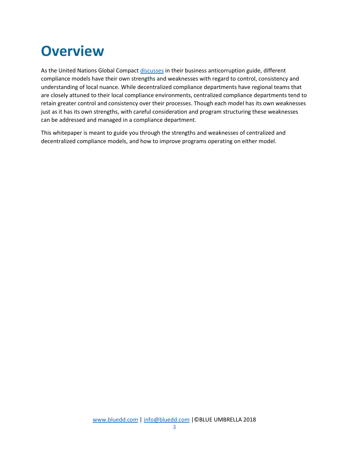# <span id="page-2-0"></span>**Overview**

As the United Nations Global Compact [discusses](https://www.globalcompact.ca/designing-an-anti-corruption-compliance-program-a-guide-for-canadian-businesses/) in their business anticorruption guide, different compliance models have their own strengths and weaknesses with regard to control, consistency and understanding of local nuance. While decentralized compliance departments have regional teams that are closely attuned to their local compliance environments, centralized compliance departments tend to retain greater control and consistency over their processes. Though each model has its own weaknesses just as it has its own strengths, with careful consideration and program structuring these weaknesses can be addressed and managed in a compliance department.

This whitepaper is meant to guide you through the strengths and weaknesses of centralized and decentralized compliance models, and how to improve programs operating on either model.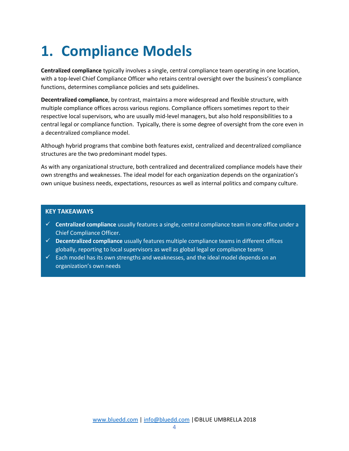# <span id="page-3-0"></span>**1. Compliance Models**

**Centralized compliance** typically involves a single, central compliance team operating in one location, with a top-level Chief Compliance Officer who retains central oversight over the business's compliance functions, determines compliance policies and sets guidelines.

**Decentralized compliance**, by contrast, maintains a more widespread and flexible structure, with multiple compliance offices across various regions. Compliance officers sometimes report to their respective local supervisors, who are usually mid-level managers, but also hold responsibilities to a central legal or compliance function. Typically, there is some degree of oversight from the core even in a decentralized compliance model.

Although hybrid programs that combine both features exist, centralized and decentralized compliance structures are the two predominant model types.

As with any organizational structure, both centralized and decentralized compliance models have their own strengths and weaknesses. The ideal model for each organization depends on the organization's own unique business needs, expectations, resources as well as internal politics and company culture.

- ✓ **Centralized compliance** usually features a single, central compliance team in one office under a Chief Compliance Officer.
- ✓ **Decentralized compliance** usually features multiple compliance teams in different offices globally, reporting to local supervisors as well as global legal or compliance teams
- $\checkmark$  Each model has its own strengths and weaknesses, and the ideal model depends on an organization's own needs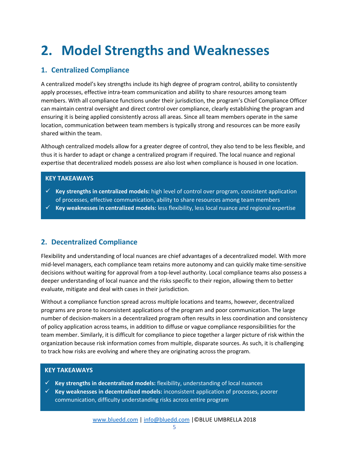# <span id="page-4-0"></span>**2. Model Strengths and Weaknesses**

### <span id="page-4-1"></span>**1. Centralized Compliance**

A centralized model's key strengths include its high degree of program control, ability to consistently apply processes, effective intra-team communication and ability to share resources among team members. With all compliance functions under their jurisdiction, the program's Chief Compliance Officer can maintain central oversight and direct control over compliance, clearly establishing the program and ensuring it is being applied consistently across all areas. Since all team members operate in the same location, communication between team members is typically strong and resources can be more easily shared within the team.

Although centralized models allow for a greater degree of control, they also tend to be less flexible, and thus it is harder to adapt or change a centralized program if required. The local nuance and regional expertise that decentralized models possess are also lost when compliance is housed in one location.

#### **KEY TAKEAWAYS**

- ✓ **Key strengths in centralized models:** high level of control over program, consistent application of processes, effective communication, ability to share resources among team members
- ✓ **Key weaknesses in centralized models:** less flexibility, less local nuance and regional expertise

### <span id="page-4-2"></span>**2. Decentralized Compliance**

Flexibility and understanding of local nuances are chief advantages of a decentralized model. With more mid-level managers, each compliance team retains more autonomy and can quickly make time-sensitive decisions without waiting for approval from a top-level authority. Local compliance teams also possess a deeper understanding of local nuance and the risks specific to their region, allowing them to better evaluate, mitigate and deal with cases in their jurisdiction.

Without a compliance function spread across multiple locations and teams, however, decentralized programs are prone to inconsistent applications of the program and poor communication. The large number of decision-makers in a decentralized program often results in less coordination and consistency of policy application across teams, in addition to diffuse or vague compliance responsibilities for the team member. Similarly, it is difficult for compliance to piece together a larger picture of risk within the organization because risk information comes from multiple, disparate sources. As such, it is challenging to track how risks are evolving and where they are originating across the program.

- ✓ **Key strengths in decentralized models:** flexibility, understanding of local nuances
- ✓ **Key weaknesses in decentralized models:** inconsistent application of processes, poorer communication, difficulty understanding risks across entire program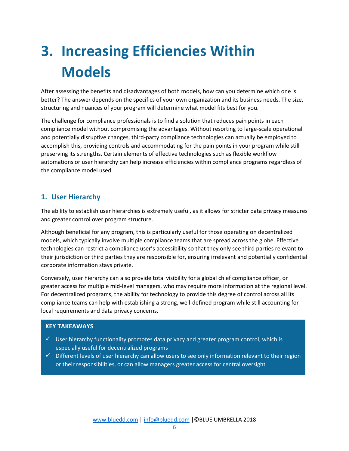# <span id="page-5-0"></span>**3. Increasing Efficiencies Within Models**

After assessing the benefits and disadvantages of both models, how can you determine which one is better? The answer depends on the specifics of your own organization and its business needs. The size, structuring and nuances of your program will determine what model fits best for you.

The challenge for compliance professionals is to find a solution that reduces pain points in each compliance model without compromising the advantages. Without resorting to large-scale operational and potentially disruptive changes, third-party compliance technologies can actually be employed to accomplish this, providing controls and accommodating for the pain points in your program while still preserving its strengths. Certain elements of effective technologies such as flexible workflow automations or user hierarchy can help increase efficiencies within compliance programs regardless of the compliance model used.

### <span id="page-5-1"></span>**1. User Hierarchy**

The ability to establish user hierarchies is extremely useful, as it allows for stricter data privacy measures and greater control over program structure.

Although beneficial for any program, this is particularly useful for those operating on decentralized models, which typically involve multiple compliance teams that are spread across the globe. Effective technologies can restrict a compliance user's accessibility so that they only see third parties relevant to their jurisdiction or third parties they are responsible for, ensuring irrelevant and potentially confidential corporate information stays private.

Conversely, user hierarchy can also provide total visibility for a global chief compliance officer, or greater access for multiple mid-level managers, who may require more information at the regional level. For decentralized programs, the ability for technology to provide this degree of control across all its compliance teams can help with establishing a strong, well-defined program while still accounting for local requirements and data privacy concerns.

- $\checkmark$  User hierarchy functionality promotes data privacy and greater program control, which is especially useful for decentralized programs
- $\checkmark$  Different levels of user hierarchy can allow users to see only information relevant to their region or their responsibilities, or can allow managers greater access for central oversight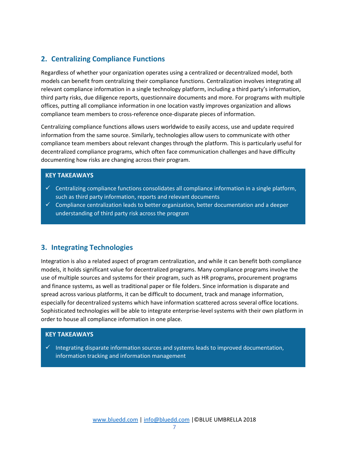### <span id="page-6-0"></span>**2. Centralizing Compliance Functions**

Regardless of whether your organization operates using a centralized or decentralized model, both models can benefit from centralizing their compliance functions. Centralization involves integrating all relevant compliance information in a single technology platform, including a third party's information, third party risks, due diligence reports, questionnaire documents and more. For programs with multiple offices, putting all compliance information in one location vastly improves organization and allows compliance team members to cross-reference once-disparate pieces of information.

Centralizing compliance functions allows users worldwide to easily access, use and update required information from the same source. Similarly, technologies allow users to communicate with other compliance team members about relevant changes through the platform. This is particularly useful for decentralized compliance programs, which often face communication challenges and have difficulty documenting how risks are changing across their program.

#### **KEY TAKEAWAYS**

- $\checkmark$  Centralizing compliance functions consolidates all compliance information in a single platform, such as third party information, reports and relevant documents
- $\checkmark$  Compliance centralization leads to better organization, better documentation and a deeper understanding of third party risk across the program

### <span id="page-6-1"></span>**3. Integrating Technologies**

Integration is also a related aspect of program centralization, and while it can benefit both compliance models, it holds significant value for decentralized programs. Many compliance programs involve the use of multiple sources and systems for their program, such as HR programs, procurement programs and finance systems, as well as traditional paper or file folders. Since information is disparate and spread across various platforms, it can be difficult to document, track and manage information, especially for decentralized systems which have information scattered across several office locations. Sophisticated technologies will be able to integrate enterprise-level systems with their own platform in order to house all compliance information in one place.

#### **KEY TAKEAWAYS**

 $\checkmark$  Integrating disparate information sources and systems leads to improved documentation, information tracking and information management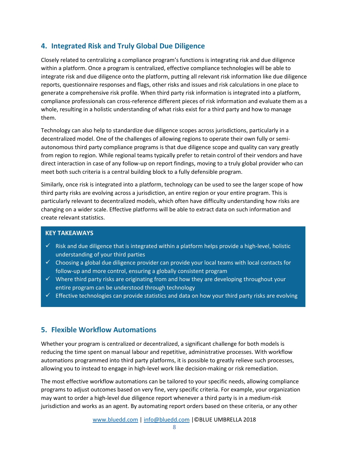## <span id="page-7-0"></span>**4. Integrated Risk and Truly Global Due Diligence**

Closely related to centralizing a compliance program's functions is integrating risk and due diligence within a platform. Once a program is centralized, effective compliance technologies will be able to integrate risk and due diligence onto the platform, putting all relevant risk information like due diligence reports, questionnaire responses and flags, other risks and issues and risk calculations in one place to generate a comprehensive risk profile. When third party risk information is integrated into a platform, compliance professionals can cross-reference different pieces of risk information and evaluate them as a whole, resulting in a holistic understanding of what risks exist for a third party and how to manage them.

Technology can also help to standardize due diligence scopes across jurisdictions, particularly in a decentralized model. One of the challenges of allowing regions to operate their own fully or semiautonomous third party compliance programs is that due diligence scope and quality can vary greatly from region to region. While regional teams typically prefer to retain control of their vendors and have direct interaction in case of any follow-up on report findings, moving to a truly global provider who can meet both such criteria is a central building block to a fully defensible program.

Similarly, once risk is integrated into a platform, technology can be used to see the larger scope of how third party risks are evolving across a jurisdiction, an entire region or your entire program. This is particularly relevant to decentralized models, which often have difficulty understanding how risks are changing on a wider scale. Effective platforms will be able to extract data on such information and create relevant statistics.

#### **KEY TAKEAWAYS**

- $\checkmark$  Risk and due diligence that is integrated within a platform helps provide a high-level, holistic understanding of your third parties
- $\checkmark$  Choosing a global due diligence provider can provide your local teams with local contacts for follow-up and more control, ensuring a globally consistent program
- $\checkmark$  Where third party risks are originating from and how they are developing throughout your entire program can be understood through technology
- $\checkmark$  Effective technologies can provide statistics and data on how your third party risks are evolving

### <span id="page-7-1"></span>**5. Flexible Workflow Automations**

Whether your program is centralized or decentralized, a significant challenge for both models is reducing the time spent on manual labour and repetitive, administrative processes. With workflow automations programmed into third party platforms, it is possible to greatly relieve such processes, allowing you to instead to engage in high-level work like decision-making or risk remediation.

The most effective workflow automations can be tailored to your specific needs, allowing compliance programs to adjust outcomes based on very fine, very specific criteria. For example, your organization may want to order a high-level due diligence report whenever a third party is in a medium-risk jurisdiction and works as an agent. By automating report orders based on these criteria, or any other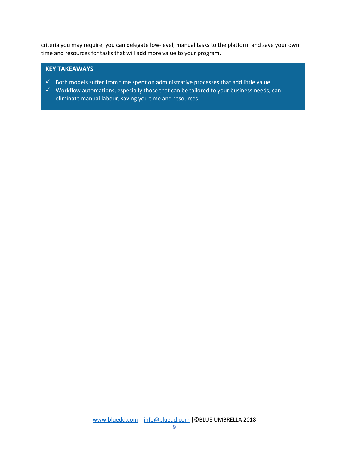criteria you may require, you can delegate low-level, manual tasks to the platform and save your own time and resources for tasks that will add more value to your program.

- $\checkmark$  Both models suffer from time spent on administrative processes that add little value
- $\checkmark$  Workflow automations, especially those that can be tailored to your business needs, can eliminate manual labour, saving you time and resources